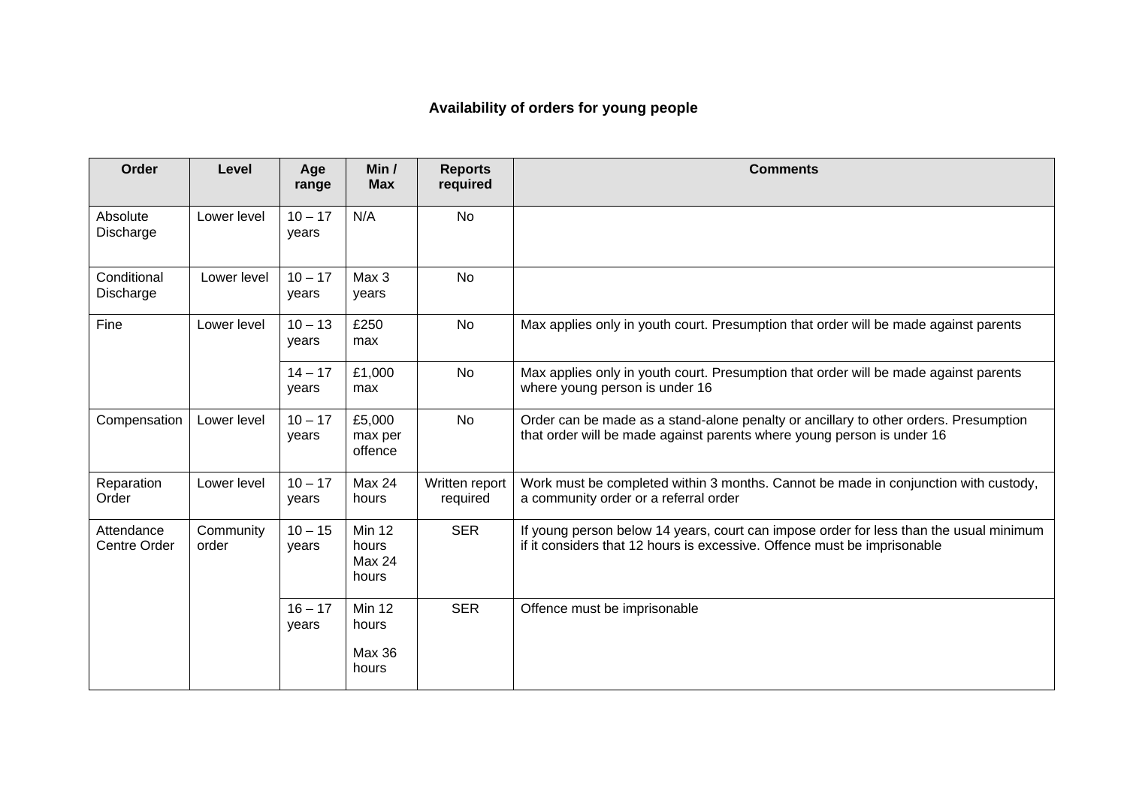## **Availability of orders for young people**

| Order                             | Level              | Age<br>range       | Min /<br><b>Max</b>                              | <b>Reports</b><br>required | <b>Comments</b>                                                                                                                                                    |
|-----------------------------------|--------------------|--------------------|--------------------------------------------------|----------------------------|--------------------------------------------------------------------------------------------------------------------------------------------------------------------|
| Absolute<br>Discharge             | Lower level        | $10 - 17$<br>years | N/A                                              | <b>No</b>                  |                                                                                                                                                                    |
| Conditional<br>Discharge          | Lower level        | $10 - 17$<br>years | Max 3<br>years                                   | <b>No</b>                  |                                                                                                                                                                    |
| Fine                              | Lower level        | $10 - 13$<br>years | £250<br>max                                      | <b>No</b>                  | Max applies only in youth court. Presumption that order will be made against parents                                                                               |
|                                   |                    | $14 - 17$<br>years | £1,000<br>max                                    | <b>No</b>                  | Max applies only in youth court. Presumption that order will be made against parents<br>where young person is under 16                                             |
| Compensation                      | Lower level        | $10 - 17$<br>years | £5,000<br>max per<br>offence                     | <b>No</b>                  | Order can be made as a stand-alone penalty or ancillary to other orders. Presumption<br>that order will be made against parents where young person is under 16     |
| Reparation<br>Order               | Lower level        | $10 - 17$<br>years | Max 24<br>hours                                  | Written report<br>required | Work must be completed within 3 months. Cannot be made in conjunction with custody,<br>a community order or a referral order                                       |
| Attendance<br><b>Centre Order</b> | Community<br>order | $10 - 15$<br>years | <b>Min 12</b><br>hours<br><b>Max 24</b><br>hours | <b>SER</b>                 | If young person below 14 years, court can impose order for less than the usual minimum<br>if it considers that 12 hours is excessive. Offence must be imprisonable |
|                                   |                    | $16 - 17$<br>years | <b>Min 12</b><br>hours<br><b>Max 36</b><br>hours | <b>SER</b>                 | Offence must be imprisonable                                                                                                                                       |